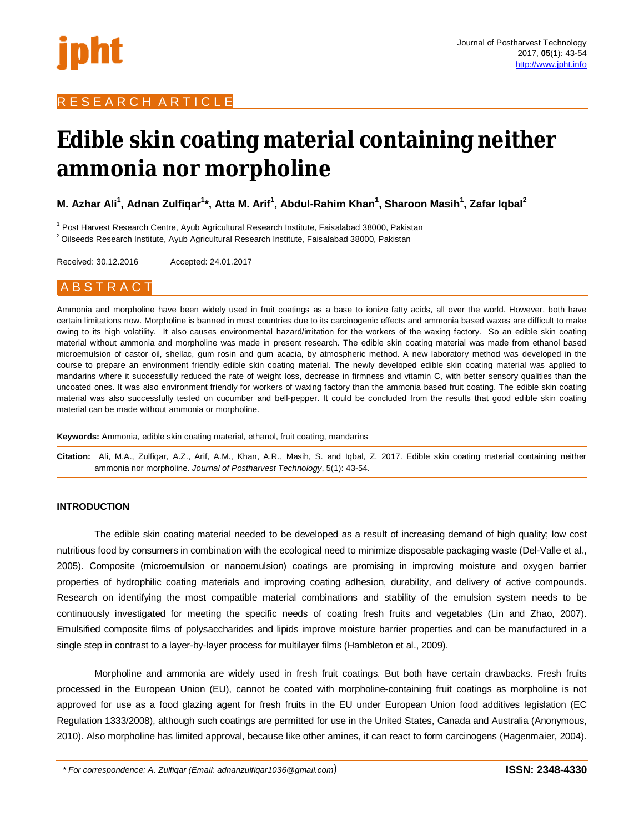

# R E S E A R C H A R T I C L E

# **Edible skin coating material containing neither ammonia nor morpholine**

**M. Azhar Ali<sup>1</sup> , Adnan Zulfiqar<sup>1</sup> \*, Atta M. Arif<sup>1</sup> , Abdul-Rahim Khan<sup>1</sup> , Sharoon Masih<sup>1</sup> , Zafar Iqbal<sup>2</sup>**

<sup>1</sup> Post Harvest Research Centre, Ayub Agricultural Research Institute, Faisalabad 38000, Pakistan <sup>2</sup>Oilseeds Research Institute, Ayub Agricultural Research Institute, Faisalabad 38000, Pakistan

Received: 30.12.2016 Accepted: 24.01.2017

# A B S T R A C T

Ammonia and morpholine have been widely used in fruit coatings as a base to ionize fatty acids, all over the world. However, both have certain limitations now. Morpholine is banned in most countries due to its carcinogenic effects and ammonia based waxes are difficult to make owing to its high volatility. It also causes environmental hazard/irritation for the workers of the waxing factory. So an edible skin coating material without ammonia and morpholine was made in present research. The edible skin coating material was made from ethanol based microemulsion of castor oil, shellac, gum rosin and gum acacia, by atmospheric method. A new laboratory method was developed in the course to prepare an environment friendly edible skin coating material. The newly developed edible skin coating material was applied to mandarins where it successfully reduced the rate of weight loss, decrease in firmness and vitamin C, with better sensory qualities than the uncoated ones. It was also environment friendly for workers of waxing factory than the ammonia based fruit coating. The edible skin coating material was also successfully tested on cucumber and bell-pepper. It could be concluded from the results that good edible skin coating material can be made without ammonia or morpholine.

**Keywords:** Ammonia, edible skin coating material, ethanol, fruit coating, mandarins

**Citation:** Ali, M.A., Zulfiqar, A.Z., Arif, A.M., Khan, A.R., Masih, S. and Iqbal, Z. 2017. Edible skin coating material containing neither ammonia nor morpholine. *Journal of Postharvest Technology*, 5(1): 43-54.

## **INTRODUCTION**

The edible skin coating material needed to be developed as a result of increasing demand of high quality; low cost nutritious food by consumers in combination with the ecological need to minimize disposable packaging waste (Del-Valle et al., 2005). Composite (microemulsion or nanoemulsion) coatings are promising in improving moisture and oxygen barrier properties of hydrophilic coating materials and improving coating adhesion, durability, and delivery of active compounds. Research on identifying the most compatible material combinations and stability of the emulsion system needs to be continuously investigated for meeting the specific needs of coating fresh fruits and vegetables (Lin and Zhao, 2007). Emulsified composite films of polysaccharides and lipids improve moisture barrier properties and can be manufactured in a single step in contrast to a layer-by-layer process for multilayer films (Hambleton et al., 2009).

Morpholine and ammonia are widely used in fresh fruit coatings. But both have certain drawbacks. Fresh fruits processed in the European Union (EU), cannot be coated with morpholine-containing fruit coatings as morpholine is not approved for use as a food glazing agent for fresh fruits in the EU under European Union food additives legislation (EC Regulation 1333/2008), although such coatings are permitted for use in the United States, Canada and Australia (Anonymous, 2010). Also morpholine has limited approval, because like other amines, it can react to form carcinogens (Hagenmaier, 2004).

*\* For correspondence: A. Zulfiqar (Email: adnanzulfiqar1036@gmail.com*)**ISSN: 2348-4330**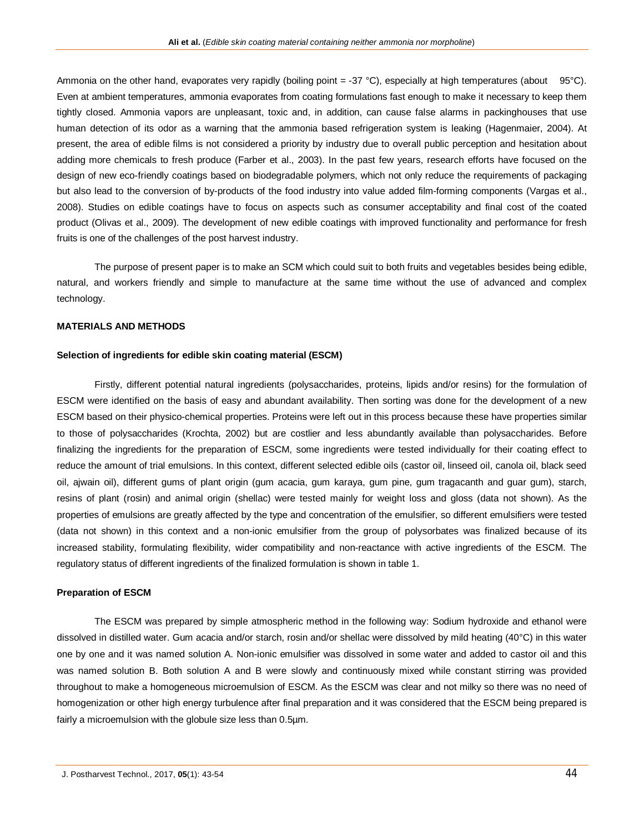Ammonia on the other hand, evaporates very rapidly (boiling point = -37 °C), especially at high temperatures (about 95°C). Even at ambient temperatures, ammonia evaporates from coating formulations fast enough to make it necessary to keep them tightly closed. Ammonia vapors are unpleasant, toxic and, in addition, can cause false alarms in packinghouses that use human detection of its odor as a warning that the ammonia based refrigeration system is leaking (Hagenmaier, 2004). At present, the area of edible films is not considered a priority by industry due to overall public perception and hesitation about adding more chemicals to fresh produce (Farber et al., 2003). In the past few years, research efforts have focused on the design of new eco-friendly coatings based on biodegradable polymers, which not only reduce the requirements of packaging but also lead to the conversion of by-products of the food industry into value added film-forming components (Vargas et al., 2008). Studies on edible coatings have to focus on aspects such as consumer acceptability and final cost of the coated product (Olivas et al., 2009). The development of new edible coatings with improved functionality and performance for fresh fruits is one of the challenges of the post harvest industry.

The purpose of present paper is to make an SCM which could suit to both fruits and vegetables besides being edible, natural, and workers friendly and simple to manufacture at the same time without the use of advanced and complex technology.

#### **MATERIALS AND METHODS**

#### **Selection of ingredients for edible skin coating material (ESCM)**

Firstly, different potential natural ingredients (polysaccharides, proteins, lipids and/or resins) for the formulation of ESCM were identified on the basis of easy and abundant availability. Then sorting was done for the development of a new ESCM based on their physico-chemical properties. Proteins were left out in this process because these have properties similar to those of polysaccharides (Krochta, 2002) but are costlier and less abundantly available than polysaccharides. Before finalizing the ingredients for the preparation of ESCM, some ingredients were tested individually for their coating effect to reduce the amount of trial emulsions. In this context, different selected edible oils (castor oil, linseed oil, canola oil, black seed oil, ajwain oil), different gums of plant origin (gum acacia, gum karaya, gum pine, gum tragacanth and guar gum), starch, resins of plant (rosin) and animal origin (shellac) were tested mainly for weight loss and gloss (data not shown). As the properties of emulsions are greatly affected by the type and concentration of the emulsifier, so different emulsifiers were tested (data not shown) in this context and a non-ionic emulsifier from the group of polysorbates was finalized because of its increased stability, formulating flexibility, wider compatibility and non-reactance with active ingredients of the ESCM. The regulatory status of different ingredients of the finalized formulation is shown in table 1.

#### **Preparation of ESCM**

The ESCM was prepared by simple atmospheric method in the following way: Sodium hydroxide and ethanol were dissolved in distilled water. Gum acacia and/or starch, rosin and/or shellac were dissolved by mild heating (40°C) in this water one by one and it was named solution A. Non-ionic emulsifier was dissolved in some water and added to castor oil and this was named solution B. Both solution A and B were slowly and continuously mixed while constant stirring was provided throughout to make a homogeneous microemulsion of ESCM. As the ESCM was clear and not milky so there was no need of homogenization or other high energy turbulence after final preparation and it was considered that the ESCM being prepared is fairly a microemulsion with the globule size less than 0.5µm.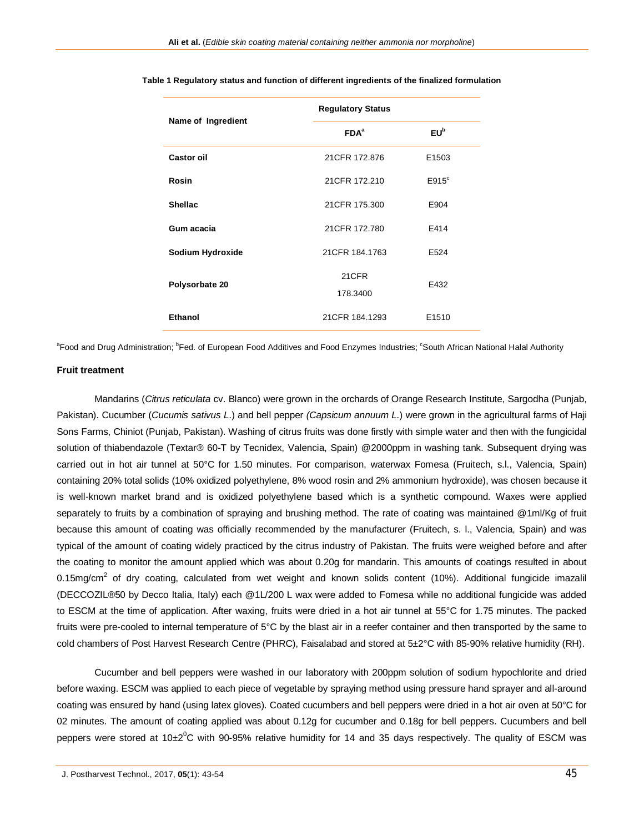|                    | <b>Regulatory Status</b> |                   |  |  |  |  |  |
|--------------------|--------------------------|-------------------|--|--|--|--|--|
| Name of Ingredient | FDA <sup>a</sup>         | $EU^b$            |  |  |  |  |  |
| Castor oil         | 21CFR 172.876            | E <sub>1503</sub> |  |  |  |  |  |
| Rosin              | 21CFR 172.210            | $E915^{\circ}$    |  |  |  |  |  |
| <b>Shellac</b>     | 21CFR 175.300            | E904              |  |  |  |  |  |
| Gum acacia         | 21 CFR 172.780           | E414              |  |  |  |  |  |
| Sodium Hydroxide   | 21CFR 184.1763           | E524              |  |  |  |  |  |
| Polysorbate 20     | 21CFR<br>178.3400        | E432              |  |  |  |  |  |
| Ethanol            | 21CFR 184.1293           | E1510             |  |  |  |  |  |

#### **Table 1 Regulatory status and function of different ingredients of the finalized formulation**

<sup>a</sup>Food and Drug Administration; <sup>b</sup>Fed. of European Food Additives and Food Enzymes Industries; <sup>c</sup>South African National Halal Authority

# **Fruit treatment**

Mandarins (*Citrus reticulata* cv. Blanco) were grown in the orchards of Orange Research Institute, Sargodha (Punjab, Pakistan). Cucumber (*Cucumis sativus L*.) and bell pepper *(Capsicum annuum L.*) were grown in the agricultural farms of Haji Sons Farms, Chiniot (Punjab, Pakistan). Washing of citrus fruits was done firstly with simple water and then with the fungicidal solution of thiabendazole (Textar® 60-T by Tecnidex, Valencia, Spain) @2000ppm in washing tank. Subsequent drying was carried out in hot air tunnel at 50°C for 1.50 minutes. For comparison, waterwax Fomesa (Fruitech, s.l., Valencia, Spain) containing 20% total solids (10% oxidized polyethylene, 8% wood rosin and 2% ammonium hydroxide), was chosen because it is well-known market brand and is oxidized polyethylene based which is a synthetic compound. Waxes were applied separately to fruits by a combination of spraying and brushing method. The rate of coating was maintained @1ml/Kg of fruit because this amount of coating was officially recommended by the manufacturer (Fruitech, s. l., Valencia, Spain) and was typical of the amount of coating widely practiced by the citrus industry of Pakistan. The fruits were weighed before and after the coating to monitor the amount applied which was about 0.20g for mandarin. This amounts of coatings resulted in about 0.15mg/cm<sup>2</sup> of dry coating, calculated from wet weight and known solids content (10%). Additional fungicide imazalil (DECCOZIL®50 by Decco Italia, Italy) each @1L/200 L wax were added to Fomesa while no additional fungicide was added to ESCM at the time of application. After waxing, fruits were dried in a hot air tunnel at 55°C for 1.75 minutes. The packed fruits were pre-cooled to internal temperature of 5°C by the blast air in a reefer container and then transported by the same to cold chambers of Post Harvest Research Centre (PHRC), Faisalabad and stored at 5±2°C with 85-90% relative humidity (RH).

Cucumber and bell peppers were washed in our laboratory with 200ppm solution of sodium hypochlorite and dried before waxing. ESCM was applied to each piece of vegetable by spraying method using pressure hand sprayer and all-around coating was ensured by hand (using latex gloves). Coated cucumbers and bell peppers were dried in a hot air oven at 50°C for 02 minutes. The amount of coating applied was about 0.12g for cucumber and 0.18g for bell peppers. Cucumbers and bell peppers were stored at  $10\pm2^0$ C with 90-95% relative humidity for 14 and 35 days respectively. The quality of ESCM was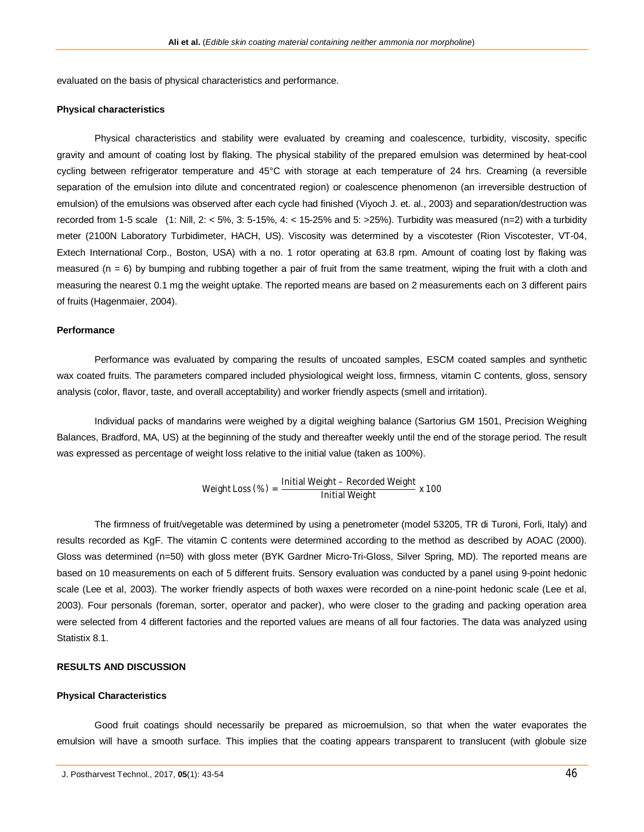evaluated on the basis of physical characteristics and performance.

#### **Physical characteristics**

Physical characteristics and stability were evaluated by creaming and coalescence, turbidity, viscosity, specific gravity and amount of coating lost by flaking. The physical stability of the prepared emulsion was determined by heat-cool cycling between refrigerator temperature and 45°C with storage at each temperature of 24 hrs. Creaming (a reversible separation of the emulsion into dilute and concentrated region) or coalescence phenomenon (an irreversible destruction of emulsion) of the emulsions was observed after each cycle had finished (Viyoch J. et. al., 2003) and separation/destruction was recorded from 1-5 scale (1: Nill, 2: < 5%, 3: 5-15%, 4: < 15-25% and 5: >25%). Turbidity was measured (n=2) with a turbidity meter (2100N Laboratory Turbidimeter, HACH, US). Viscosity was determined by a viscotester (Rion Viscotester, VT-04, Extech International Corp., Boston, USA) with a no. 1 rotor operating at 63.8 rpm. Amount of coating lost by flaking was measured ( $n = 6$ ) by bumping and rubbing together a pair of fruit from the same treatment, wiping the fruit with a cloth and measuring the nearest 0.1 mg the weight uptake. The reported means are based on 2 measurements each on 3 different pairs of fruits (Hagenmaier, 2004).

# **Performance**

Performance was evaluated by comparing the results of uncoated samples, ESCM coated samples and synthetic wax coated fruits. The parameters compared included physiological weight loss, firmness, vitamin C contents, gloss, sensory analysis (color, flavor, taste, and overall acceptability) and worker friendly aspects (smell and irritation).

Individual packs of mandarins were weighed by a digital weighing balance (Sartorius GM 1501, Precision Weighing Balances, Bradford, MA, US) at the beginning of the study and thereafter weekly until the end of the storage period. The result was expressed as percentage of weight loss relative to the initial value (taken as 100%).

Weight Loss (
$$
\%
$$
) = 
$$
\frac{\text{Initial Weight} - \text{Recorded Weight}}{\text{Initial Weight}}
$$
x 100

The firmness of fruit/vegetable was determined by using a penetrometer (model 53205, TR di Turoni, Forli, Italy) and results recorded as KgF. The vitamin C contents were determined according to the method as described by AOAC (2000). Gloss was determined (n=50) with gloss meter (BYK Gardner Micro-Tri-Gloss, Silver Spring, MD). The reported means are based on 10 measurements on each of 5 different fruits. Sensory evaluation was conducted by a panel using 9-point hedonic scale (Lee et al, 2003). The worker friendly aspects of both waxes were recorded on a nine-point hedonic scale (Lee et al, 2003). Four personals (foreman, sorter, operator and packer), who were closer to the grading and packing operation area were selected from 4 different factories and the reported values are means of all four factories. The data was analyzed using Statistix 8.1.

# **RESULTS AND DISCUSSION**

#### **Physical Characteristics**

Good fruit coatings should necessarily be prepared as microemulsion, so that when the water evaporates the emulsion will have a smooth surface. This implies that the coating appears transparent to translucent (with globule size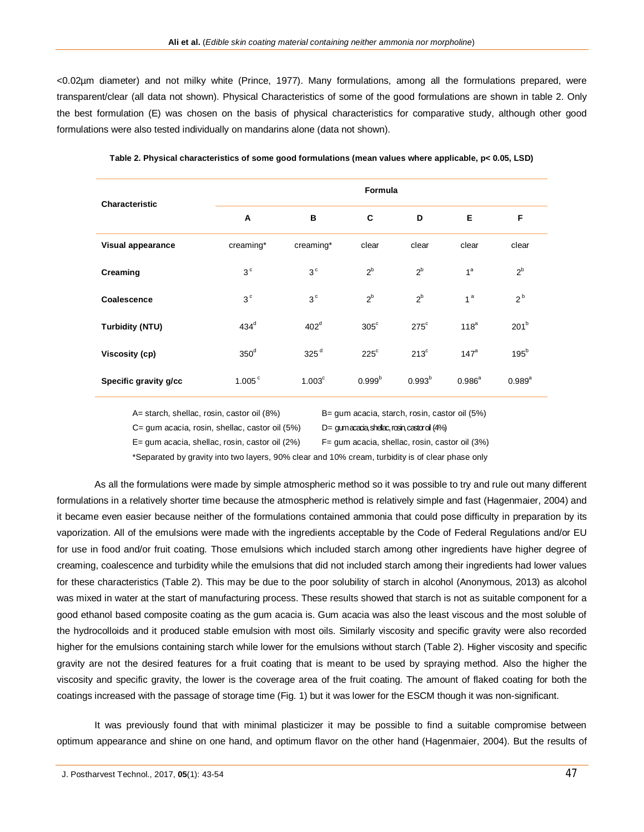<0.02µm diameter) and not milky white (Prince, 1977). Many formulations, among all the formulations prepared, were transparent/clear (all data not shown). Physical Characteristics of some of the good formulations are shown in table 2. Only the best formulation (E) was chosen on the basis of physical characteristics for comparative study, although other good formulations were also tested individually on mandarins alone (data not shown).

| <b>Characteristic</b> |                    |                    | Formula            |               |                      |                  |  |  |  |  |
|-----------------------|--------------------|--------------------|--------------------|---------------|----------------------|------------------|--|--|--|--|
|                       | A                  | в                  | C                  | D             | Е                    | F                |  |  |  |  |
| Visual appearance     | creaming*          | creaming*          | clear              | clear         | clear                | clear            |  |  |  |  |
| Creaming              | 3 <sup>c</sup>     | 3 <sup>c</sup>     | $2^b$              | $2^b$         | 1 <sup>a</sup>       | $2^b$            |  |  |  |  |
| Coalescence           | 3 <sup>c</sup>     | 3 <sup>c</sup>     | $2^b$              | $2^b$         | 1 <sup>a</sup>       | $2^b$            |  |  |  |  |
| Turbidity (NTU)       | $434^d$            | 402 <sup>d</sup>   | $305^{\circ}$      | $275^{\circ}$ | 118 <sup>a</sup>     | 201 <sup>b</sup> |  |  |  |  |
| Viscosity (cp)        | $350^{\circ}$      | 325 <sup>d</sup>   | $225^{\circ}$      | $213^{\circ}$ | 147 <sup>a</sup>     | $195^b$          |  |  |  |  |
| Specific gravity g/cc | 1.005 <sup>c</sup> | 1.003 <sup>c</sup> | 0.999 <sup>b</sup> | $0.993^{b}$   | $0.986$ <sup>a</sup> | $0.989^{a}$      |  |  |  |  |

**Table 2. Physical characteristics of some good formulations (mean values where applicable, p< 0.05, LSD)**

A= starch, shellac, rosin, castor oil (8%) B= gum acacia, starch, rosin, castor oil (5%)

C= gum acacia, rosin, shellac, castor oil (5%) D= gum acada, shellac, rosin, castor oil (4%)

 $E=$  gum acacia, shellac, rosin, castor oil (2%)  $E=$  gum acacia, shellac, rosin, castor oil (3%)

\*Separated by gravity into two layers, 90% clear and 10% cream, turbidity is of clear phase only

As all the formulations were made by simple atmospheric method so it was possible to try and rule out many different formulations in a relatively shorter time because the atmospheric method is relatively simple and fast (Hagenmaier, 2004) and it became even easier because neither of the formulations contained ammonia that could pose difficulty in preparation by its vaporization. All of the emulsions were made with the ingredients acceptable by the Code of Federal Regulations and/or EU for use in food and/or fruit coating. Those emulsions which included starch among other ingredients have higher degree of creaming, coalescence and turbidity while the emulsions that did not included starch among their ingredients had lower values for these characteristics (Table 2). This may be due to the poor solubility of starch in alcohol (Anonymous, 2013) as alcohol was mixed in water at the start of manufacturing process. These results showed that starch is not as suitable component for a good ethanol based composite coating as the gum acacia is. Gum acacia was also the least viscous and the most soluble of the hydrocolloids and it produced stable emulsion with most oils. Similarly viscosity and specific gravity were also recorded higher for the emulsions containing starch while lower for the emulsions without starch (Table 2). Higher viscosity and specific gravity are not the desired features for a fruit coating that is meant to be used by spraying method. Also the higher the viscosity and specific gravity, the lower is the coverage area of the fruit coating. The amount of flaked coating for both the coatings increased with the passage of storage time (Fig. 1) but it was lower for the ESCM though it was non-significant.

It was previously found that with minimal plasticizer it may be possible to find a suitable compromise between optimum appearance and shine on one hand, and optimum flavor on the other hand (Hagenmaier, 2004). But the results of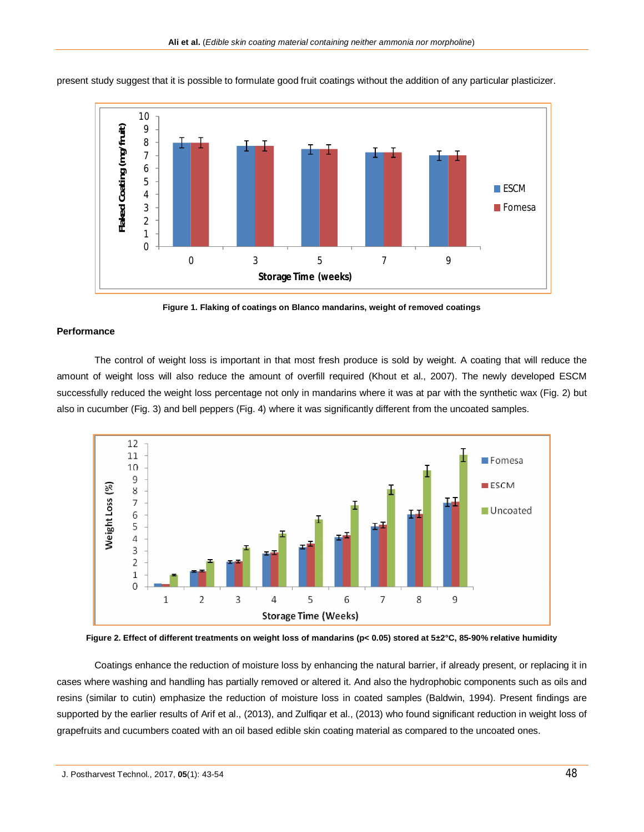

present study suggest that it is possible to formulate good fruit coatings without the addition of any particular plasticizer.

**Figure 1. Flaking of coatings on Blanco mandarins, weight of removed coatings** 

#### **Performance**

The control of weight loss is important in that most fresh produce is sold by weight. A coating that will reduce the amount of weight loss will also reduce the amount of overfill required (Khout et al., 2007). The newly developed ESCM successfully reduced the weight loss percentage not only in mandarins where it was at par with the synthetic wax (Fig. 2) but also in cucumber (Fig. 3) and bell peppers (Fig. 4) where it was significantly different from the uncoated samples.



**Figure 2. Effect of different treatments on weight loss of mandarins (p< 0.05) stored at 5±2°C, 85-90% relative humidity**

Coatings enhance the reduction of moisture loss by enhancing the natural barrier, if already present, or replacing it in cases where washing and handling has partially removed or altered it. And also the hydrophobic components such as oils and resins (similar to cutin) emphasize the reduction of moisture loss in coated samples (Baldwin, 1994). Present findings are supported by the earlier results of Arif et al., (2013), and Zulfiqar et al., (2013) who found significant reduction in weight loss of grapefruits and cucumbers coated with an oil based edible skin coating material as compared to the uncoated ones.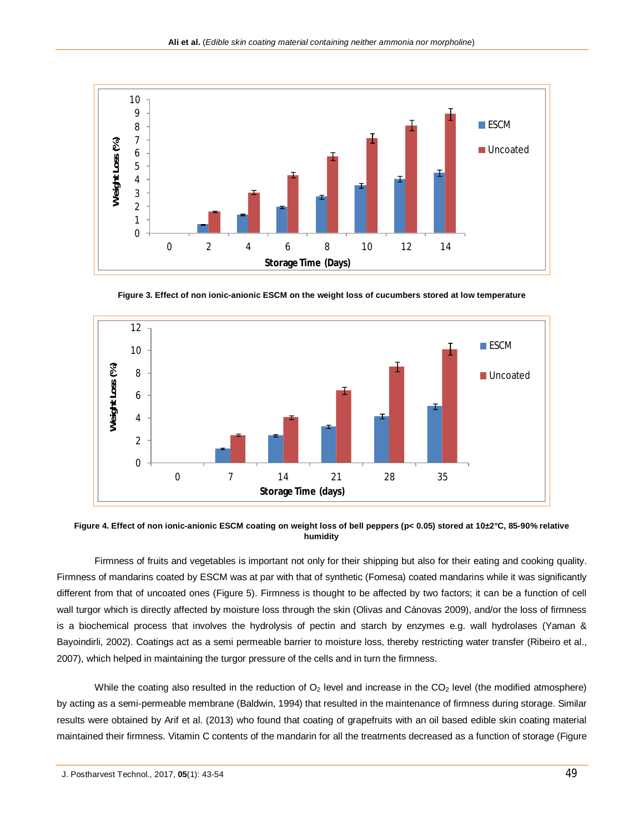

**Figure 3. Effect of non ionic-anionic ESCM on the weight loss of cucumbers stored at low temperature** 



**Figure 4. Effect of non ionic-anionic ESCM coating on weight loss of bell peppers (p< 0.05) stored at 10±2°C, 85-90% relative humidity**

Firmness of fruits and vegetables is important not only for their shipping but also for their eating and cooking quality. Firmness of mandarins coated by ESCM was at par with that of synthetic (Fomesa) coated mandarins while it was significantly different from that of uncoated ones (Figure 5). Firmness is thought to be affected by two factors; it can be a function of cell wall turgor which is directly affected by moisture loss through the skin (Olivas and Cánovas 2009), and/or the loss of firmness is a biochemical process that involves the hydrolysis of pectin and starch by enzymes e.g. wall hydrolases (Yaman & Bayoindirli, 2002). Coatings act as a semi permeable barrier to moisture loss, thereby restricting water transfer (Ribeiro et al., 2007), which helped in maintaining the turgor pressure of the cells and in turn the firmness.

While the coating also resulted in the reduction of  $O_2$  level and increase in the  $CO_2$  level (the modified atmosphere) by acting as a semi-permeable membrane (Baldwin, 1994) that resulted in the maintenance of firmness during storage. Similar results were obtained by Arif et al. (2013) who found that coating of grapefruits with an oil based edible skin coating material maintained their firmness. Vitamin C contents of the mandarin for all the treatments decreased as a function of storage (Figure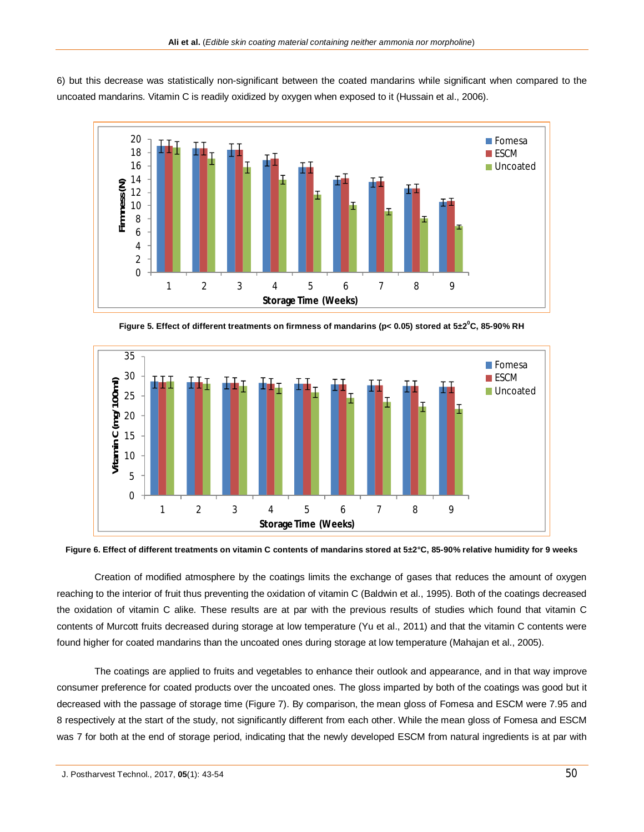6) but this decrease was statistically non-significant between the coated mandarins while significant when compared to the uncoated mandarins. Vitamin C is readily oxidized by oxygen when exposed to it (Hussain et al., 2006).



**Figure 5. Effect of different treatments on firmness of mandarins (p< 0.05) stored at 5±2<sup>0</sup>C, 85-90% RH**



**Figure 6. Effect of different treatments on vitamin C contents of mandarins stored at 5±2°C, 85-90% relative humidity for 9 weeks**

Creation of modified atmosphere by the coatings limits the exchange of gases that reduces the amount of oxygen reaching to the interior of fruit thus preventing the oxidation of vitamin C (Baldwin et al., 1995). Both of the coatings decreased the oxidation of vitamin C alike. These results are at par with the previous results of studies which found that vitamin C contents of Murcott fruits decreased during storage at low temperature (Yu et al., 2011) and that the vitamin C contents were found higher for coated mandarins than the uncoated ones during storage at low temperature (Mahajan et al., 2005).

The coatings are applied to fruits and vegetables to enhance their outlook and appearance, and in that way improve consumer preference for coated products over the uncoated ones. The gloss imparted by both of the coatings was good but it decreased with the passage of storage time (Figure 7). By comparison, the mean gloss of Fomesa and ESCM were 7.95 and 8 respectively at the start of the study, not significantly different from each other. While the mean gloss of Fomesa and ESCM was 7 for both at the end of storage period, indicating that the newly developed ESCM from natural ingredients is at par with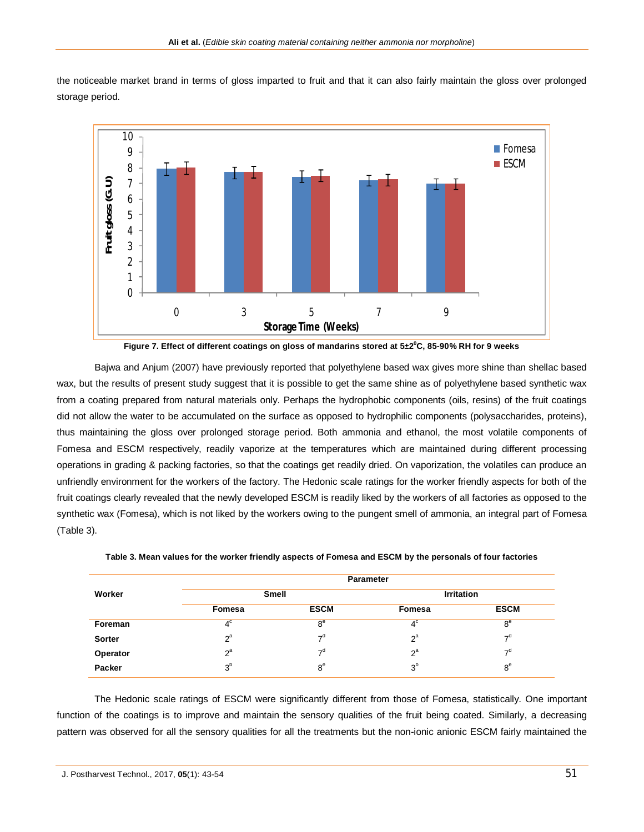the noticeable market brand in terms of gloss imparted to fruit and that it can also fairly maintain the gloss over prolonged storage period.



**Figure 7. Effect of different coatings on gloss of mandarins stored at 5±2<sup>0</sup>C, 85-90% RH for 9 weeks**

Bajwa and Anjum (2007) have previously reported that polyethylene based wax gives more shine than shellac based wax, but the results of present study suggest that it is possible to get the same shine as of polyethylene based synthetic wax from a coating prepared from natural materials only. Perhaps the hydrophobic components (oils, resins) of the fruit coatings did not allow the water to be accumulated on the surface as opposed to hydrophilic components (polysaccharides, proteins), thus maintaining the gloss over prolonged storage period. Both ammonia and ethanol, the most volatile components of Fomesa and ESCM respectively, readily vaporize at the temperatures which are maintained during different processing operations in grading & packing factories, so that the coatings get readily dried. On vaporization, the volatiles can produce an unfriendly environment for the workers of the factory. The Hedonic scale ratings for the worker friendly aspects for both of the fruit coatings clearly revealed that the newly developed ESCM is readily liked by the workers of all factories as opposed to the synthetic wax (Fomesa), which is not liked by the workers owing to the pungent smell of ammonia, an integral part of Fomesa (Table 3).

|               | <b>Parameter</b> |                |                |                   |  |  |
|---------------|------------------|----------------|----------------|-------------------|--|--|
| Worker        | <b>Smell</b>     |                |                | <b>Irritation</b> |  |  |
|               | <b>Fomesa</b>    | <b>ESCM</b>    | Fomesa         | <b>ESCM</b>       |  |  |
| Foreman       | $4^{\circ}$      | 8 <sup>e</sup> | $4^{\circ}$    | 8 <sup>e</sup>    |  |  |
| <b>Sorter</b> | $2^a$            | 7 <sup>d</sup> | $2^a$          | 7 <sup>d</sup>    |  |  |
| Operator      | $2^a$            | 7 <sup>d</sup> | $2^a$          | 7 <sup>d</sup>    |  |  |
| Packer        | 3 <sup>b</sup>   | 8 <sup>e</sup> | 3 <sup>b</sup> | 8 <sup>e</sup>    |  |  |

**Table 3. Mean values for the worker friendly aspects of Fomesa and ESCM by the personals of four factories**

The Hedonic scale ratings of ESCM were significantly different from those of Fomesa, statistically. One important function of the coatings is to improve and maintain the sensory qualities of the fruit being coated. Similarly, a decreasing pattern was observed for all the sensory qualities for all the treatments but the non-ionic anionic ESCM fairly maintained the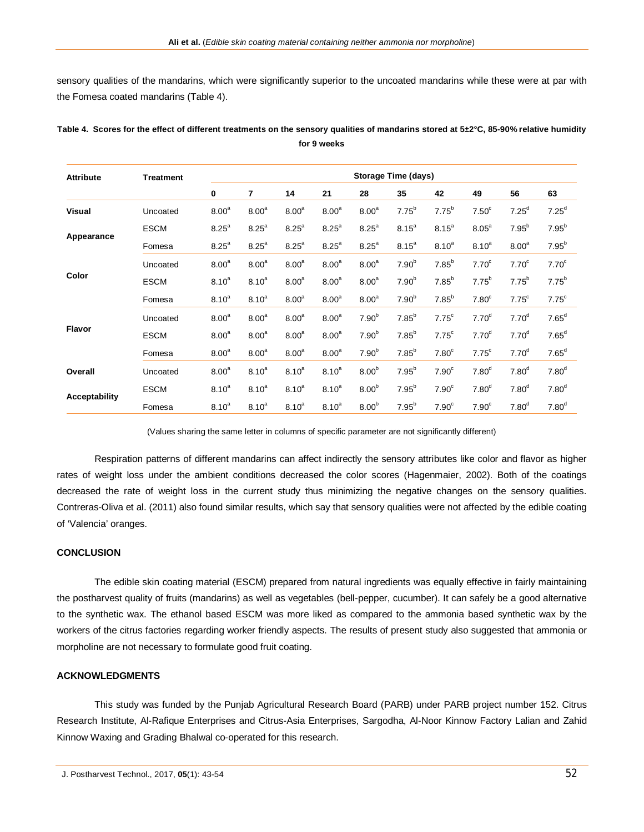sensory qualities of the mandarins, which were significantly superior to the uncoated mandarins while these were at par with the Fomesa coated mandarins (Table 4).

| <b>Attribute</b> | <b>Treatment</b> | <b>Storage Time (days)</b> |                   |                   |                   |                   |                   |                   |                   |                   |                   |
|------------------|------------------|----------------------------|-------------------|-------------------|-------------------|-------------------|-------------------|-------------------|-------------------|-------------------|-------------------|
|                  |                  | 0                          | 7                 | 14                | 21                | 28                | 35                | 42                | 49                | 56                | 63                |
| <b>Visual</b>    | Uncoated         | 8.00 <sup>a</sup>          | 8.00 <sup>a</sup> | 8.00 <sup>a</sup> | 8.00 <sup>a</sup> | 8.00 <sup>a</sup> | $7.75^b$          | $7.75^b$          | 7.50 <sup>c</sup> | $7.25^d$          | $7.25^d$          |
|                  | <b>ESCM</b>      | 8.25 <sup>a</sup>          | 8.25 <sup>a</sup> | 8.25 <sup>a</sup> | 8.25 <sup>a</sup> | 8.25 <sup>a</sup> | $8.15^{a}$        | $8.15^{a}$        | 8.05 <sup>a</sup> | $7.95^{b}$        | $7.95^b$          |
| Appearance       | Fomesa           | 8.25 <sup>a</sup>          | 8.25 <sup>a</sup> | 8.25 <sup>a</sup> | 8.25 <sup>a</sup> | 8.25 <sup>a</sup> | $8.15^{a}$        | $8.10^{a}$        | $8.10^{a}$        | 8.00 <sup>a</sup> | $7.95^b$          |
| Color            | Uncoated         | 8.00 <sup>a</sup>          | 8.00 <sup>a</sup> | 8.00 <sup>a</sup> | 8.00 <sup>a</sup> | 8.00 <sup>a</sup> | 7.90 <sup>b</sup> | $7.85^{b}$        | 7.70 <sup>c</sup> | 7.70 <sup>c</sup> | 7.70 <sup>c</sup> |
|                  | <b>ESCM</b>      | $8.10^{a}$                 | $8.10^{a}$        | 8.00 <sup>a</sup> | 8.00 <sup>a</sup> | 8.00 <sup>a</sup> | 7.90 <sup>b</sup> | $7.85^{b}$        | $7.75^{b}$        | $7.75^{b}$        | $7.75^b$          |
|                  | Fomesa           | $8.10^{a}$                 | $8.10^{a}$        | 8.00 <sup>a</sup> | 8.00 <sup>a</sup> | 8.00 <sup>a</sup> | 7.90 <sup>b</sup> | $7.85^b$          | 7.80 <sup>c</sup> | $7.75^{\circ}$    | $7.75^{\circ}$    |
| <b>Flavor</b>    | Uncoated         | 8.00 <sup>a</sup>          | 8.00 <sup>a</sup> | 8.00 <sup>a</sup> | 8.00 <sup>a</sup> | 7.90 <sup>b</sup> | 7.85 <sup>b</sup> | $7.75^{\circ}$    | 7.70 <sup>d</sup> | 7.70 <sup>d</sup> | $7.65^d$          |
|                  | <b>ESCM</b>      | 8.00 <sup>a</sup>          | 8.00 <sup>a</sup> | 8.00 <sup>a</sup> | 8.00 <sup>a</sup> | 7.90 <sup>b</sup> | $7.85^b$          | $7.75^{\circ}$    | 7.70 <sup>d</sup> | 7.70 <sup>d</sup> | $7.65^d$          |
|                  | Fomesa           | 8.00 <sup>a</sup>          | 8.00 <sup>a</sup> | 8.00 <sup>a</sup> | 8.00 <sup>a</sup> | 7.90 <sup>b</sup> | $7.85^{b}$        | 7.80 <sup>c</sup> | $7.75^{\circ}$    | 7.70 <sup>d</sup> | $7.65^d$          |
| Overall          | Uncoated         | 8.00 <sup>a</sup>          | $8.10^{a}$        | 8.10 <sup>a</sup> | $8.10^{a}$        | 8.00 <sup>b</sup> | 7.95 <sup>b</sup> | 7.90 <sup>c</sup> | 7.80 <sup>d</sup> | 7.80 <sup>d</sup> | 7.80 <sup>d</sup> |
| Acceptability    | <b>ESCM</b>      | $8.10^{a}$                 | $8.10^{a}$        | $8.10^{a}$        | $8.10^{a}$        | 8.00 <sup>b</sup> | $7.95^{b}$        | 7.90 <sup>c</sup> | 7.80 <sup>d</sup> | 7.80 <sup>d</sup> | 7.80 <sup>d</sup> |
|                  | Fomesa           | $8.10^{a}$                 | $8.10^{a}$        | 8.10 <sup>a</sup> | $8.10^{a}$        | 8.00 <sup>b</sup> | $7.95^{b}$        | 7.90 <sup>c</sup> | 7.90 <sup>c</sup> | 7.80 <sup>d</sup> | 7.80 <sup>d</sup> |

**Table 4. Scores for the effect of different treatments on the sensory qualities of mandarins stored at 5±2°C, 85-90% relative humidity for 9 weeks**

(Values sharing the same letter in columns of specific parameter are not significantly different)

Respiration patterns of different mandarins can affect indirectly the sensory attributes like color and flavor as higher rates of weight loss under the ambient conditions decreased the color scores (Hagenmaier, 2002). Both of the coatings decreased the rate of weight loss in the current study thus minimizing the negative changes on the sensory qualities. Contreras-Oliva et al. (2011) also found similar results, which say that sensory qualities were not affected by the edible coating of 'Valencia' oranges.

## **CONCLUSION**

The edible skin coating material (ESCM) prepared from natural ingredients was equally effective in fairly maintaining the postharvest quality of fruits (mandarins) as well as vegetables (bell-pepper, cucumber). It can safely be a good alternative to the synthetic wax. The ethanol based ESCM was more liked as compared to the ammonia based synthetic wax by the workers of the citrus factories regarding worker friendly aspects. The results of present study also suggested that ammonia or morpholine are not necessary to formulate good fruit coating.

# **ACKNOWLEDGMENTS**

This study was funded by the Punjab Agricultural Research Board (PARB) under PARB project number 152. Citrus Research Institute, Al-Rafique Enterprises and Citrus-Asia Enterprises, Sargodha, Al-Noor Kinnow Factory Lalian and Zahid Kinnow Waxing and Grading Bhalwal co-operated for this research.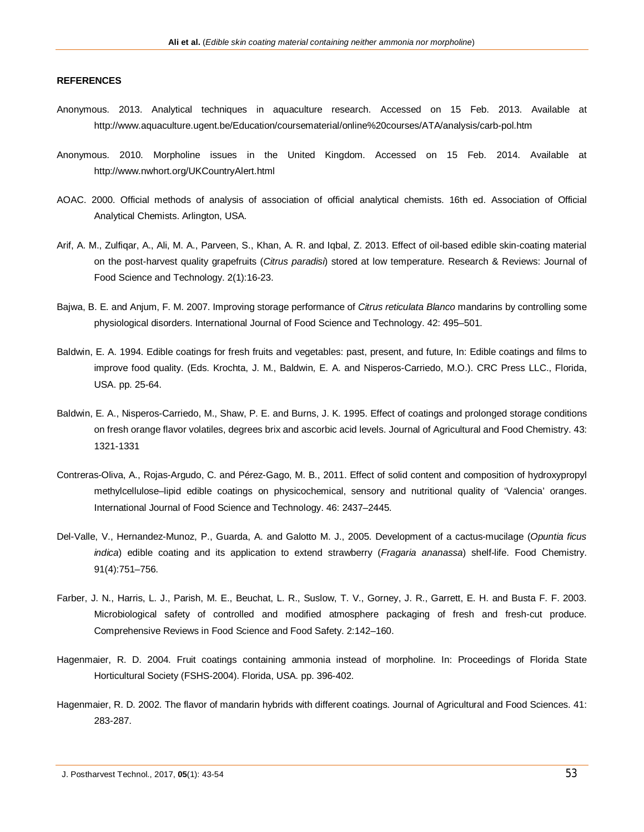# **REFERENCES**

- Anonymous. 2013. Analytical techniques in aquaculture research. Accessed on 15 Feb. 2013. Available at http://www.aquaculture.ugent.be/Education/coursematerial/online%20courses/ATA/analysis/carb-pol.htm
- Anonymous. 2010. Morpholine issues in the United Kingdom. Accessed on 15 Feb. 2014. Available at http://www.nwhort.org/UKCountryAlert.html
- AOAC. 2000. Official methods of analysis of association of official analytical chemists. 16th ed. Association of Official Analytical Chemists. Arlington, USA.
- Arif, A. M., Zulfiqar, A., Ali, M. A., Parveen, S., Khan, A. R. and Iqbal, Z. 2013. Effect of oil-based edible skin-coating material on the post-harvest quality grapefruits (*Citrus paradisi*) stored at low temperature. Research & Reviews: Journal of Food Science and Technology. 2(1):16-23.
- Bajwa, B. E. and Anjum, F. M. 2007. Improving storage performance of *Citrus reticulata Blanco* mandarins by controlling some physiological disorders. International Journal of Food Science and Technology. 42: 495–501.
- Baldwin, E. A. 1994. Edible coatings for fresh fruits and vegetables: past, present, and future, In: Edible coatings and films to improve food quality. (Eds. Krochta, J. M., Baldwin, E. A. and Nisperos-Carriedo, M.O.). CRC Press LLC., Florida, USA. pp. 25-64.
- Baldwin, E. A., Nisperos-Carriedo, M., Shaw, P. E. and Burns, J. K. 1995. Effect of coatings and prolonged storage conditions on fresh orange flavor volatiles, degrees brix and ascorbic acid levels. Journal of Agricultural and Food Chemistry. 43: 1321-1331
- Contreras-Oliva, A., Rojas-Argudo, C. and Pérez-Gago, M. B., 2011. Effect of solid content and composition of hydroxypropyl methylcellulose–lipid edible coatings on physicochemical, sensory and nutritional quality of 'Valencia' oranges. International Journal of Food Science and Technology. 46: 2437–2445.
- Del-Valle, V., Hernandez-Munoz, P., Guarda, A. and Galotto M. J., 2005. Development of a cactus-mucilage (*Opuntia ficus indica*) edible coating and its application to extend strawberry (*Fragaria ananassa*) shelf-life. Food Chemistry. 91(4):751–756.
- Farber, J. N., Harris, L. J., Parish, M. E., Beuchat, L. R., Suslow, T. V., Gorney, J. R., Garrett, E. H. and Busta F. F. 2003. Microbiological safety of controlled and modified atmosphere packaging of fresh and fresh-cut produce. Comprehensive Reviews in Food Science and Food Safety. 2:142–160.
- Hagenmaier, R. D. 2004. Fruit coatings containing ammonia instead of morpholine. In: Proceedings of Florida State Horticultural Society (FSHS-2004). Florida, USA. pp. 396-402.
- Hagenmaier, R. D. 2002. The flavor of mandarin hybrids with different coatings. Journal of Agricultural and Food Sciences. 41: 283-287.

J. Postharvest Technol., 2017, **05**(1): 43-54 53